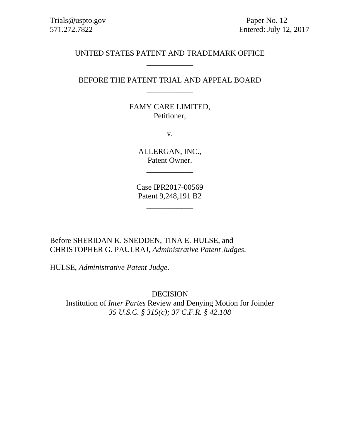571.272.7822 Entered: July 12, 2017

# UNITED STATES PATENT AND TRADEMARK OFFICE \_\_\_\_\_\_\_\_\_\_\_\_

# BEFORE THE PATENT TRIAL AND APPEAL BOARD \_\_\_\_\_\_\_\_\_\_\_\_

# FAMY CARE LIMITED, Petitioner,

v.

ALLERGAN, INC., Patent Owner.

\_\_\_\_\_\_\_\_\_\_\_\_

Case IPR2017-00569 Patent 9,248,191 B2

\_\_\_\_\_\_\_\_\_\_\_\_

Before SHERIDAN K. SNEDDEN, TINA E. HULSE, and CHRISTOPHER G. PAULRAJ, *Administrative Patent Judges*.

HULSE, *Administrative Patent Judge*.

DECISION Institution of *Inter Partes* Review and Denying Motion for Joinder *35 U.S.C. § 315(c); 37 C.F.R. § 42.108*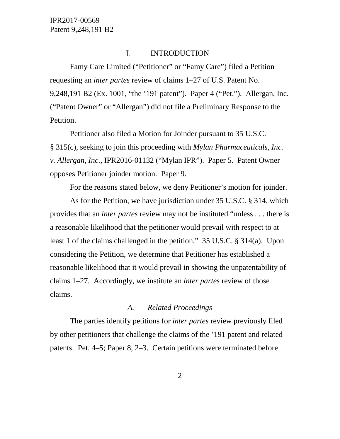#### I. INTRODUCTION

Famy Care Limited ("Petitioner" or "Famy Care") filed a Petition requesting an *inter partes* review of claims 1–27 of U.S. Patent No. 9,248,191 B2 (Ex. 1001, "the '191 patent"). Paper 4 ("Pet."). Allergan, Inc. ("Patent Owner" or "Allergan") did not file a Preliminary Response to the Petition.

Petitioner also filed a Motion for Joinder pursuant to 35 U.S.C. § 315(c), seeking to join this proceeding with *Mylan Pharmaceuticals, Inc. v. Allergan, Inc.*, IPR2016-01132 ("Mylan IPR"). Paper 5. Patent Owner opposes Petitioner joinder motion. Paper 9.

For the reasons stated below, we deny Petitioner's motion for joinder.

As for the Petition, we have jurisdiction under 35 U.S.C. § 314, which provides that an *inter partes* review may not be instituted "unless . . . there is a reasonable likelihood that the petitioner would prevail with respect to at least 1 of the claims challenged in the petition." 35 U.S.C. § 314(a). Upon considering the Petition, we determine that Petitioner has established a reasonable likelihood that it would prevail in showing the unpatentability of claims 1–27. Accordingly, we institute an *inter partes* review of those claims.

#### *A. Related Proceedings*

The parties identify petitions for *inter partes* review previously filed by other petitioners that challenge the claims of the '191 patent and related patents. Pet. 4–5; Paper 8, 2–3. Certain petitions were terminated before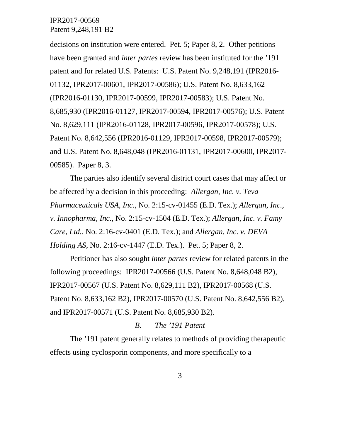decisions on institution were entered. Pet. 5; Paper 8, 2. Other petitions have been granted and *inter partes* review has been instituted for the '191 patent and for related U.S. Patents: U.S. Patent No. 9,248,191 (IPR2016- 01132, IPR2017-00601, IPR2017-00586); U.S. Patent No. 8,633,162 (IPR2016-01130, IPR2017-00599, IPR2017-00583); U.S. Patent No. 8,685,930 (IPR2016-01127, IPR2017-00594, IPR2017-00576); U.S. Patent No. 8,629,111 (IPR2016-01128, IPR2017-00596, IPR2017-00578); U.S. Patent No. 8,642,556 (IPR2016-01129, IPR2017-00598, IPR2017-00579); and U.S. Patent No. 8,648,048 (IPR2016-01131, IPR2017-00600, IPR2017- 00585). Paper 8, 3.

The parties also identify several district court cases that may affect or be affected by a decision in this proceeding: *Allergan, Inc. v. Teva Pharmaceuticals USA, Inc.*, No. 2:15-cv-01455 (E.D. Tex.); *Allergan, Inc., v. Innopharma, Inc.*, No. 2:15-cv-1504 (E.D. Tex.); *Allergan, Inc. v. Famy Care, Ltd.*, No. 2:16-cv-0401 (E.D. Tex.); and *Allergan, Inc. v. DEVA Holding AS*, No. 2:16-cv-1447 (E.D. Tex.). Pet. 5; Paper 8, 2.

Petitioner has also sought *inter partes* review for related patents in the following proceedings: IPR2017-00566 (U.S. Patent No. 8,648,048 B2), IPR2017-00567 (U.S. Patent No. 8,629,111 B2), IPR2017-00568 (U.S. Patent No. 8,633,162 B2), IPR2017-00570 (U.S. Patent No. 8,642,556 B2), and IPR2017-00571 (U.S. Patent No. 8,685,930 B2).

#### *B. The '191 Patent*

The '191 patent generally relates to methods of providing therapeutic effects using cyclosporin components, and more specifically to a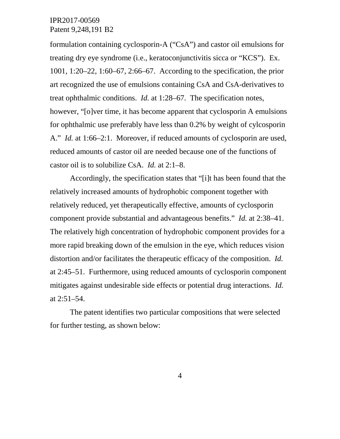formulation containing cyclosporin-A ("CsA") and castor oil emulsions for treating dry eye syndrome (i.e., keratoconjunctivitis sicca or "KCS"). Ex. 1001, 1:20–22, 1:60–67, 2:66–67. According to the specification, the prior art recognized the use of emulsions containing CsA and CsA-derivatives to treat ophthalmic conditions. *Id.* at 1:28–67. The specification notes, however, "[o]ver time, it has become apparent that cyclosporin A emulsions for ophthalmic use preferably have less than 0.2% by weight of cylcosporin A." *Id.* at 1:66–2:1. Moreover, if reduced amounts of cyclosporin are used, reduced amounts of castor oil are needed because one of the functions of castor oil is to solubilize CsA. *Id.* at 2:1–8.

Accordingly, the specification states that "[i]t has been found that the relatively increased amounts of hydrophobic component together with relatively reduced, yet therapeutically effective, amounts of cyclosporin component provide substantial and advantageous benefits." *Id.* at 2:38–41. The relatively high concentration of hydrophobic component provides for a more rapid breaking down of the emulsion in the eye, which reduces vision distortion and/or facilitates the therapeutic efficacy of the composition. *Id.* at 2:45–51. Furthermore, using reduced amounts of cyclosporin component mitigates against undesirable side effects or potential drug interactions. *Id.* at 2:51–54.

The patent identifies two particular compositions that were selected for further testing, as shown below: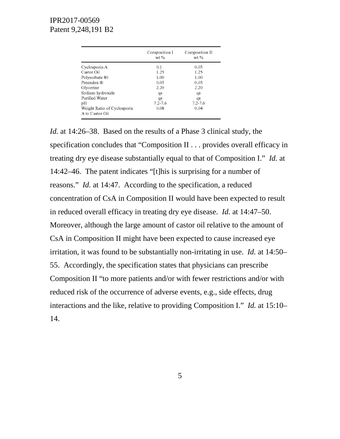|                                                | Composition I<br>wt % | Composition II<br>wt % |  |
|------------------------------------------------|-----------------------|------------------------|--|
| Cyclosporin A                                  | 0.1                   | 0.05                   |  |
| Castor Oil                                     | 1.25                  | 1.25                   |  |
| Polysorbate 80                                 | 1.00                  | 1.00                   |  |
| Premulen ®                                     | 0.05                  | 0.05                   |  |
| Glycerine                                      | 2.20                  | 2.20                   |  |
| Sodium hydroxide                               | qs                    | qs                     |  |
| Purified Water                                 | qs                    | qs                     |  |
| рH                                             | $7.2 - 7.6$           | $7.2 - 7.6$            |  |
| Weight Ratio of Cyclosporin<br>A to Castor Oil | 0.08                  | 0.04                   |  |

*Id.* at 14:26–38. Based on the results of a Phase 3 clinical study, the specification concludes that "Composition II . . . provides overall efficacy in treating dry eye disease substantially equal to that of Composition I." *Id.* at 14:42–46. The patent indicates "[t]his is surprising for a number of reasons." *Id.* at 14:47. According to the specification, a reduced concentration of CsA in Composition II would have been expected to result in reduced overall efficacy in treating dry eye disease. *Id.* at 14:47–50. Moreover, although the large amount of castor oil relative to the amount of CsA in Composition II might have been expected to cause increased eye irritation, it was found to be substantially non-irritating in use. *Id.* at 14:50– 55. Accordingly, the specification states that physicians can prescribe Composition II "to more patients and/or with fewer restrictions and/or with reduced risk of the occurrence of adverse events, e.g., side effects, drug interactions and the like, relative to providing Composition I." *Id.* at 15:10– 14.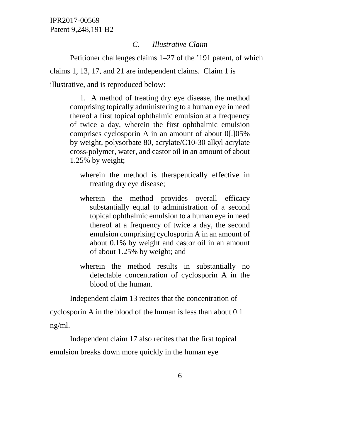### *C. Illustrative Claim*

Petitioner challenges claims 1–27 of the '191 patent, of which claims 1, 13, 17, and 21 are independent claims. Claim 1 is illustrative, and is reproduced below:

1. A method of treating dry eye disease, the method comprising topically administering to a human eye in need thereof a first topical ophthalmic emulsion at a frequency of twice a day, wherein the first ophthalmic emulsion comprises cyclosporin A in an amount of about 0[.]05% by weight, polysorbate 80, acrylate/C10-30 alkyl acrylate cross-polymer, water, and castor oil in an amount of about 1.25% by weight;

wherein the method is therapeutically effective in treating dry eye disease;

- wherein the method provides overall efficacy substantially equal to administration of a second topical ophthalmic emulsion to a human eye in need thereof at a frequency of twice a day, the second emulsion comprising cyclosporin A in an amount of about 0.1% by weight and castor oil in an amount of about 1.25% by weight; and
- wherein the method results in substantially no detectable concentration of cyclosporin A in the blood of the human.

Independent claim 13 recites that the concentration of

cyclosporin A in the blood of the human is less than about 0.1 ng/ml.

Independent claim 17 also recites that the first topical emulsion breaks down more quickly in the human eye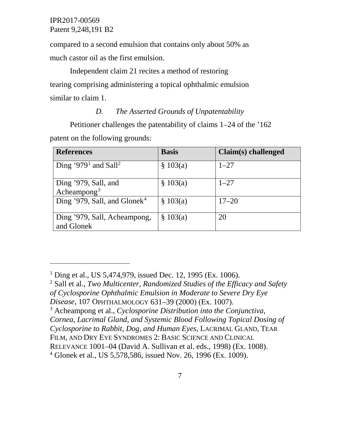compared to a second emulsion that contains only about 50% as much castor oil as the first emulsion.

Independent claim 21 recites a method of restoring tearing comprising administering a topical ophthalmic emulsion similar to claim 1.

# *D. The Asserted Grounds of Unpatentability*

Petitioner challenges the patentability of claims 1–24 of the '162

patent on the following grounds:

 $\overline{a}$ 

| <b>References</b>                               | <b>Basis</b> | Claim(s) challenged |
|-------------------------------------------------|--------------|---------------------|
| Ding '979 <sup>1</sup> and Sall <sup>2</sup>    | \$103(a)     | $1 - 27$            |
| Ding '979, Sall, and<br>Acheampong <sup>3</sup> | \$103(a)     | $1 - 27$            |
| Ding '979, Sall, and Glonek <sup>4</sup>        | \$103(a)     | $17 - 20$           |
| Ding '979, Sall, Acheampong,<br>and Glonek      | \$103(a)     | 20                  |

<span id="page-6-2"></span><sup>3</sup> Acheampong et al., *Cyclosporine Distribution into the Conjunctiva, Cornea, Lacrimal Gland, and Systemic Blood Following Topical Dosing of Cyclosporine to Rabbit, Dog, and Human Eyes*, LACRIMAL GLAND, TEAR

FILM, AND DRY EYE SYNDROMES 2: BASIC SCIENCE AND CLINICAL

<span id="page-6-0"></span><sup>&</sup>lt;sup>1</sup> Ding et al., US 5,474,979, issued Dec. 12, 1995 (Ex. 1006).

<span id="page-6-1"></span><sup>2</sup> Sall et al., *Two Multicenter, Randomized Studies of the Efficacy and Safety of Cyclosporine Ophthalmic Emulsion in Moderate to Severe Dry Eye* 

*Disease*, 107 OPHTHALMOLOGY 631–39 (2000) (Ex. 1007).

RELEVANCE 1001–04 (David A. Sullivan et al. eds., 1998) (Ex. 1008).

<span id="page-6-3"></span><sup>4</sup> Glonek et al., US 5,578,586, issued Nov. 26, 1996 (Ex. 1009).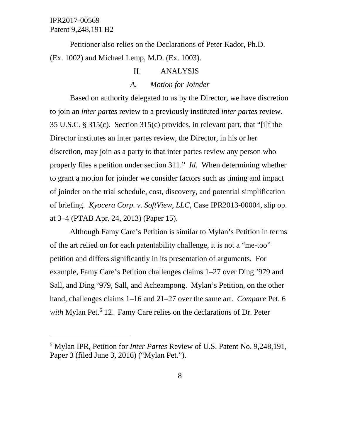$\overline{a}$ 

Petitioner also relies on the Declarations of Peter Kador, Ph.D. (Ex. 1002) and Michael Lemp, M.D. (Ex. 1003).

#### II. ANALYSIS

# *A. Motion for Joinder*

Based on authority delegated to us by the Director, we have discretion to join an *inter partes* review to a previously instituted *inter partes* review. 35 U.S.C. § 315(c). Section 315(c) provides, in relevant part, that "[i]f the Director institutes an inter partes review, the Director, in his or her discretion, may join as a party to that inter partes review any person who properly files a petition under section 311." *Id.* When determining whether to grant a motion for joinder we consider factors such as timing and impact of joinder on the trial schedule, cost, discovery, and potential simplification of briefing. *Kyocera Corp. v. SoftView, LLC*, Case IPR2013-00004, slip op. at 3–4 (PTAB Apr. 24, 2013) (Paper 15).

Although Famy Care's Petition is similar to Mylan's Petition in terms of the art relied on for each patentability challenge, it is not a "me-too" petition and differs significantly in its presentation of arguments. For example, Famy Care's Petition challenges claims 1–27 over Ding '979 and Sall, and Ding '979, Sall, and Acheampong. Mylan's Petition, on the other hand, challenges claims 1–16 and 21–27 over the same art. *Compare* Pet. 6 *with* Mylan Pet.<sup>[5](#page-7-0)</sup> 12. Famy Care relies on the declarations of Dr. Peter

<span id="page-7-0"></span><sup>5</sup> Mylan IPR, Petition for *Inter Partes* Review of U.S. Patent No. 9,248,191, Paper 3 (filed June 3, 2016) ("Mylan Pet.").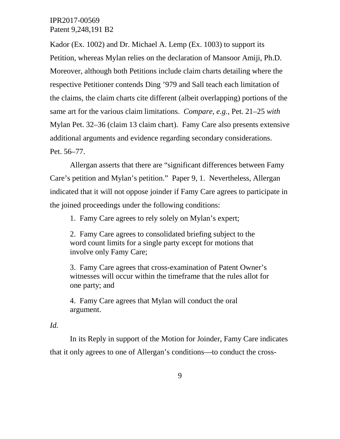Kador (Ex. 1002) and Dr. Michael A. Lemp (Ex. 1003) to support its Petition, whereas Mylan relies on the declaration of Mansoor Amiji, Ph.D. Moreover, although both Petitions include claim charts detailing where the respective Petitioner contends Ding '979 and Sall teach each limitation of the claims, the claim charts cite different (albeit overlapping) portions of the same art for the various claim limitations. *Compare, e.g.*, Pet. 21–25 *with* Mylan Pet. 32–36 (claim 13 claim chart). Famy Care also presents extensive additional arguments and evidence regarding secondary considerations. Pet. 56–77.

Allergan asserts that there are "significant differences between Famy Care's petition and Mylan's petition." Paper 9, 1. Nevertheless, Allergan indicated that it will not oppose joinder if Famy Care agrees to participate in the joined proceedings under the following conditions:

1. Famy Care agrees to rely solely on Mylan's expert;

2. Famy Care agrees to consolidated briefing subject to the word count limits for a single party except for motions that involve only Famy Care;

3. Famy Care agrees that cross-examination of Patent Owner's witnesses will occur within the timeframe that the rules allot for one party; and

4. Famy Care agrees that Mylan will conduct the oral argument.

# *Id.*

In its Reply in support of the Motion for Joinder, Famy Care indicates that it only agrees to one of Allergan's conditions—to conduct the cross-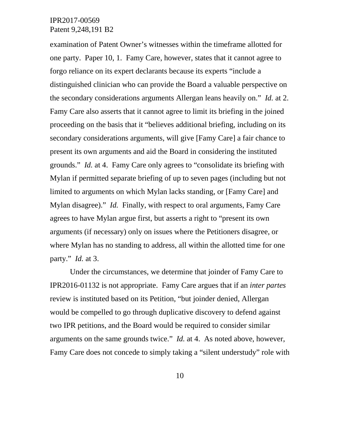examination of Patent Owner's witnesses within the timeframe allotted for one party. Paper 10, 1. Famy Care, however, states that it cannot agree to forgo reliance on its expert declarants because its experts "include a distinguished clinician who can provide the Board a valuable perspective on the secondary considerations arguments Allergan leans heavily on." *Id.* at 2. Famy Care also asserts that it cannot agree to limit its briefing in the joined proceeding on the basis that it "believes additional briefing, including on its secondary considerations arguments, will give [Famy Care] a fair chance to present its own arguments and aid the Board in considering the instituted grounds." *Id.* at 4. Famy Care only agrees to "consolidate its briefing with Mylan if permitted separate briefing of up to seven pages (including but not limited to arguments on which Mylan lacks standing, or [Famy Care] and Mylan disagree)." *Id.* Finally, with respect to oral arguments, Famy Care agrees to have Mylan argue first, but asserts a right to "present its own arguments (if necessary) only on issues where the Petitioners disagree, or where Mylan has no standing to address, all within the allotted time for one party." *Id.* at 3.

Under the circumstances, we determine that joinder of Famy Care to IPR2016-01132 is not appropriate. Famy Care argues that if an *inter partes* review is instituted based on its Petition, "but joinder denied, Allergan would be compelled to go through duplicative discovery to defend against two IPR petitions, and the Board would be required to consider similar arguments on the same grounds twice." *Id.* at 4. As noted above, however, Famy Care does not concede to simply taking a "silent understudy" role with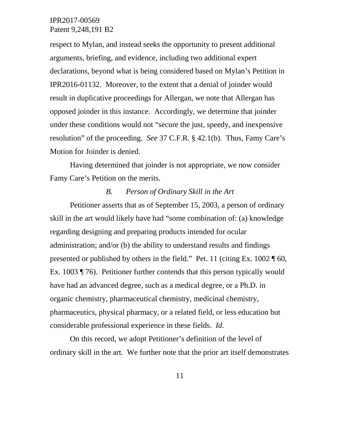respect to Mylan, and instead seeks the opportunity to present additional arguments, briefing, and evidence, including two additional expert declarations, beyond what is being considered based on Mylan's Petition in IPR2016-01132. Moreover, to the extent that a denial of joinder would result in duplicative proceedings for Allergan, we note that Allergan has opposed joinder in this instance. Accordingly, we determine that joinder under these conditions would not "secure the just, speedy, and inexpensive resolution" of the proceeding. *See* 37 C.F.R. § 42.1(b). Thus, Famy Care's Motion for Joinder is denied.

Having determined that joinder is not appropriate, we now consider Famy Care's Petition on the merits.

# *B. Person of Ordinary Skill in the Art*

Petitioner asserts that as of September 15, 2003, a person of ordinary skill in the art would likely have had "some combination of: (a) knowledge regarding designing and preparing products intended for ocular administration; and/or (b) the ability to understand results and findings presented or published by others in the field." Pet. 11 (citing Ex. 1002 ¶ 60, Ex. 1003 ¶ 76). Petitioner further contends that this person typically would have had an advanced degree, such as a medical degree, or a Ph.D. in organic chemistry, pharmaceutical chemistry, medicinal chemistry, pharmaceutics, physical pharmacy, or a related field, or less education but considerable professional experience in these fields. *Id.*

On this record, we adopt Petitioner's definition of the level of ordinary skill in the art. We further note that the prior art itself demonstrates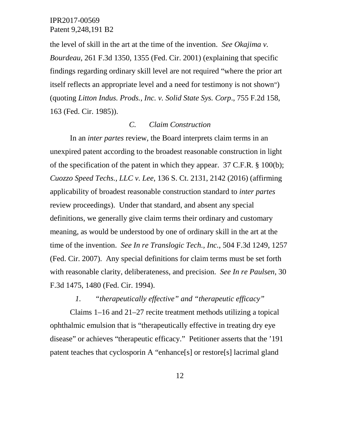the level of skill in the art at the time of the invention. *See Okajima v. Bourdeau*, 261 F.3d 1350, 1355 (Fed. Cir. 2001) (explaining that specific findings regarding ordinary skill level are not required "where the prior art itself reflects an appropriate level and a need for testimony is not shown") (quoting *Litton Indus. Prods., Inc. v. Solid State Sys. Corp*., 755 F.2d 158, 163 (Fed. Cir. 1985)).

#### *C. Claim Construction*

In an *inter partes* review, the Board interprets claim terms in an unexpired patent according to the broadest reasonable construction in light of the specification of the patent in which they appear. 37 C.F.R. § 100(b); *Cuozzo Speed Techs., LLC v. Lee*, 136 S. Ct. 2131, 2142 (2016) (affirming applicability of broadest reasonable construction standard to *inter partes* review proceedings). Under that standard, and absent any special definitions, we generally give claim terms their ordinary and customary meaning, as would be understood by one of ordinary skill in the art at the time of the invention. *See In re Translogic Tech., Inc.*, 504 F.3d 1249, 1257 (Fed. Cir. 2007). Any special definitions for claim terms must be set forth with reasonable clarity, deliberateness, and precision. *See In re Paulsen*, 30 F.3d 1475, 1480 (Fed. Cir. 1994).

*1. "therapeutically effective" and "therapeutic efficacy"*

Claims 1–16 and 21–27 recite treatment methods utilizing a topical ophthalmic emulsion that is "therapeutically effective in treating dry eye disease" or achieves "therapeutic efficacy." Petitioner asserts that the '191 patent teaches that cyclosporin A "enhance[s] or restore[s] lacrimal gland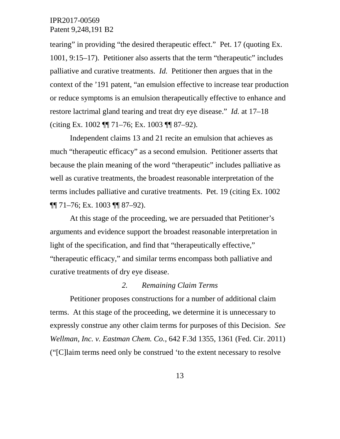tearing" in providing "the desired therapeutic effect." Pet. 17 (quoting Ex. 1001, 9:15–17). Petitioner also asserts that the term "therapeutic" includes palliative and curative treatments. *Id.* Petitioner then argues that in the context of the '191 patent, "an emulsion effective to increase tear production or reduce symptoms is an emulsion therapeutically effective to enhance and restore lactrimal gland tearing and treat dry eye disease." *Id.* at 17–18 (citing Ex. 1002 ¶¶ 71–76; Ex. 1003 ¶¶ 87–92).

Independent claims 13 and 21 recite an emulsion that achieves as much "therapeutic efficacy" as a second emulsion. Petitioner asserts that because the plain meaning of the word "therapeutic" includes palliative as well as curative treatments, the broadest reasonable interpretation of the terms includes palliative and curative treatments. Pet. 19 (citing Ex. 1002 ¶¶ 71–76; Ex. 1003 ¶¶ 87–92).

At this stage of the proceeding, we are persuaded that Petitioner's arguments and evidence support the broadest reasonable interpretation in light of the specification, and find that "therapeutically effective," "therapeutic efficacy," and similar terms encompass both palliative and curative treatments of dry eye disease.

### *2. Remaining Claim Terms*

Petitioner proposes constructions for a number of additional claim terms. At this stage of the proceeding, we determine it is unnecessary to expressly construe any other claim terms for purposes of this Decision. *See Wellman, Inc. v. Eastman Chem. Co.*, 642 F.3d 1355, 1361 (Fed. Cir. 2011) ("[C]laim terms need only be construed 'to the extent necessary to resolve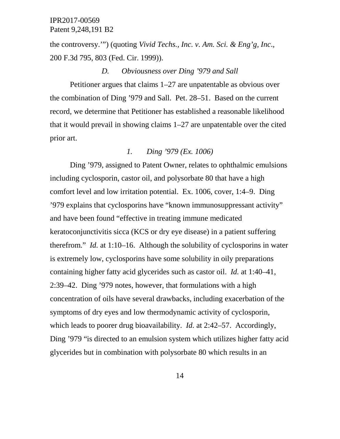the controversy.'") (quoting *Vivid Techs., Inc. v. Am. Sci. & Eng'g, Inc*., 200 F.3d 795, 803 (Fed. Cir. 1999)).

#### *D. Obviousness over Ding '979 and Sall*

Petitioner argues that claims 1–27 are unpatentable as obvious over the combination of Ding '979 and Sall. Pet. 28–51. Based on the current record, we determine that Petitioner has established a reasonable likelihood that it would prevail in showing claims 1–27 are unpatentable over the cited prior art.

### *1. Ding '979 (Ex. 1006)*

Ding '979, assigned to Patent Owner, relates to ophthalmic emulsions including cyclosporin, castor oil, and polysorbate 80 that have a high comfort level and low irritation potential. Ex. 1006, cover, 1:4–9. Ding '979 explains that cyclosporins have "known immunosuppressant activity" and have been found "effective in treating immune medicated keratoconjunctivitis sicca (KCS or dry eye disease) in a patient suffering therefrom." *Id.* at 1:10–16. Although the solubility of cyclosporins in water is extremely low, cyclosporins have some solubility in oily preparations containing higher fatty acid glycerides such as castor oil. *Id.* at 1:40–41, 2:39–42. Ding '979 notes, however, that formulations with a high concentration of oils have several drawbacks, including exacerbation of the symptoms of dry eyes and low thermodynamic activity of cyclosporin, which leads to poorer drug bioavailability. *Id.* at 2:42–57. Accordingly, Ding '979 "is directed to an emulsion system which utilizes higher fatty acid glycerides but in combination with polysorbate 80 which results in an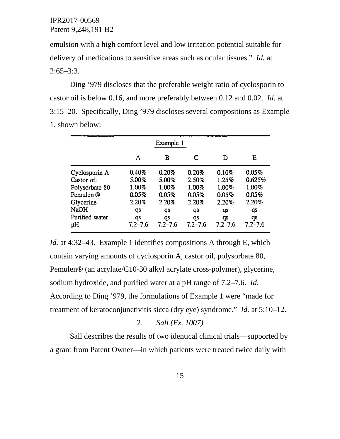emulsion with a high comfort level and low irritation potential suitable for delivery of medications to sensitive areas such as ocular tissues." *Id.* at  $2:65 - 3:3$ .

Ding '979 discloses that the preferable weight ratio of cyclosporin to castor oil is below 0.16, and more preferably between 0.12 and 0.02. *Id.* at 3:15–20. Specifically, Ding '979 discloses several compositions as Example 1, shown below:

|                | Example 1   |             |             |             |             |  |  |
|----------------|-------------|-------------|-------------|-------------|-------------|--|--|
|                | A           | в           | C           | D           | Е           |  |  |
| Cyclosporin A  | 0.40%       | 0.20%       | 0.20%       | 0.10%       | 0.05%       |  |  |
| Castor oil     | 5.00%       | 5.00%       | 2.50%       | 1.25%       | 0.625%      |  |  |
| Polysorbate 80 | 1.00%       | 1.00%       | 1.00%       | 1.00%       | 1.00%       |  |  |
| Pemulen ®      | 0.05%       | 0.05%       | 0.05%       | 0.05%       | 0.05%       |  |  |
| Glycerine      | 2.20%       | 2.20%       | 2.20%       | 2.20%       | 2.20%       |  |  |
| <b>NaOH</b>    | qs          | qs          | qs          | qs          | qs          |  |  |
| Purified water | qs          | qs          | qs          | qs          | qs          |  |  |
| pH             | $7.2 - 7.6$ | $7.2 - 7.6$ | $7.2 - 7.6$ | $7.2 - 7.6$ | $7.2 - 7.6$ |  |  |

*Id.* at 4:32–43. Example 1 identifies compositions A through E, which contain varying amounts of cyclosporin A, castor oil, polysorbate 80, Pemulen® (an acrylate/C10-30 alkyl acrylate cross-polymer), glycerine, sodium hydroxide, and purified water at a pH range of 7.2–7.6. *Id.* According to Ding '979, the formulations of Example 1 were "made for treatment of keratoconjunctivitis sicca (dry eye) syndrome." *Id.* at 5:10–12.

*2. Sall (Ex. 1007)*

Sall describes the results of two identical clinical trials—supported by a grant from Patent Owner—in which patients were treated twice daily with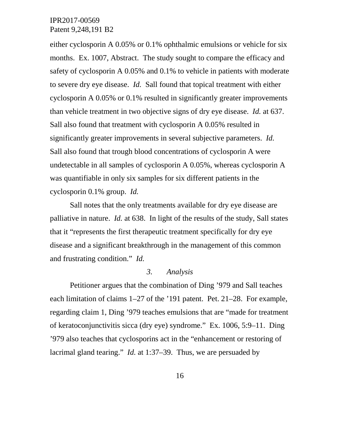either cyclosporin A 0.05% or 0.1% ophthalmic emulsions or vehicle for six months. Ex. 1007, Abstract. The study sought to compare the efficacy and safety of cyclosporin A 0.05% and 0.1% to vehicle in patients with moderate to severe dry eye disease. *Id.* Sall found that topical treatment with either cyclosporin A 0.05% or 0.1% resulted in significantly greater improvements than vehicle treatment in two objective signs of dry eye disease. *Id.* at 637. Sall also found that treatment with cyclosporin A 0.05% resulted in significantly greater improvements in several subjective parameters. *Id.* Sall also found that trough blood concentrations of cyclosporin A were undetectable in all samples of cyclosporin A 0.05%, whereas cyclosporin A was quantifiable in only six samples for six different patients in the cyclosporin 0.1% group. *Id.*

Sall notes that the only treatments available for dry eye disease are palliative in nature. *Id.* at 638. In light of the results of the study, Sall states that it "represents the first therapeutic treatment specifically for dry eye disease and a significant breakthrough in the management of this common and frustrating condition." *Id.*

# *3. Analysis*

Petitioner argues that the combination of Ding '979 and Sall teaches each limitation of claims 1–27 of the '191 patent. Pet. 21–28. For example, regarding claim 1, Ding '979 teaches emulsions that are "made for treatment of keratoconjunctivitis sicca (dry eye) syndrome." Ex. 1006, 5:9–11. Ding '979 also teaches that cyclosporins act in the "enhancement or restoring of lacrimal gland tearing." *Id.* at 1:37–39. Thus, we are persuaded by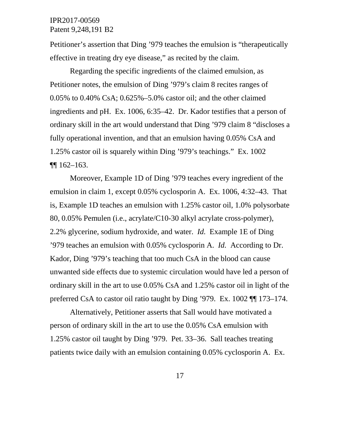Petitioner's assertion that Ding '979 teaches the emulsion is "therapeutically effective in treating dry eye disease," as recited by the claim.

Regarding the specific ingredients of the claimed emulsion, as Petitioner notes, the emulsion of Ding '979's claim 8 recites ranges of 0.05% to 0.40% CsA; 0.625%–5.0% castor oil; and the other claimed ingredients and pH. Ex. 1006, 6:35–42. Dr. Kador testifies that a person of ordinary skill in the art would understand that Ding '979 claim 8 "discloses a fully operational invention, and that an emulsion having 0.05% CsA and 1.25% castor oil is squarely within Ding '979's teachings." Ex. 1002  $\P$ [ $\vert$  162–163.

Moreover, Example 1D of Ding '979 teaches every ingredient of the emulsion in claim 1, except 0.05% cyclosporin A. Ex. 1006, 4:32–43. That is, Example 1D teaches an emulsion with 1.25% castor oil, 1.0% polysorbate 80, 0.05% Pemulen (i.e., acrylate/C10-30 alkyl acrylate cross-polymer), 2.2% glycerine, sodium hydroxide, and water. *Id.* Example 1E of Ding '979 teaches an emulsion with 0.05% cyclosporin A. *Id.* According to Dr. Kador, Ding '979's teaching that too much CsA in the blood can cause unwanted side effects due to systemic circulation would have led a person of ordinary skill in the art to use 0.05% CsA and 1.25% castor oil in light of the preferred CsA to castor oil ratio taught by Ding '979. Ex. 1002 ¶¶ 173–174.

Alternatively, Petitioner asserts that Sall would have motivated a person of ordinary skill in the art to use the 0.05% CsA emulsion with 1.25% castor oil taught by Ding '979. Pet. 33–36. Sall teaches treating patients twice daily with an emulsion containing 0.05% cyclosporin A. Ex.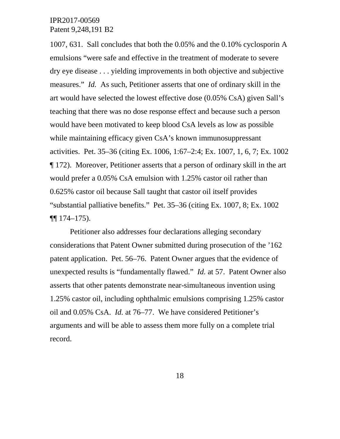1007, 631. Sall concludes that both the 0.05% and the 0.10% cyclosporin A emulsions "were safe and effective in the treatment of moderate to severe dry eye disease . . . yielding improvements in both objective and subjective measures." *Id.* As such, Petitioner asserts that one of ordinary skill in the art would have selected the lowest effective dose (0.05% CsA) given Sall's teaching that there was no dose response effect and because such a person would have been motivated to keep blood CsA levels as low as possible while maintaining efficacy given CsA's known immunosuppressant activities. Pet. 35–36 (citing Ex. 1006, 1:67–2:4; Ex. 1007, 1, 6, 7; Ex. 1002 ¶ 172). Moreover, Petitioner asserts that a person of ordinary skill in the art would prefer a 0.05% CsA emulsion with 1.25% castor oil rather than 0.625% castor oil because Sall taught that castor oil itself provides "substantial palliative benefits." Pet. 35–36 (citing Ex. 1007, 8; Ex. 1002  $\P\P$  174–175).

Petitioner also addresses four declarations alleging secondary considerations that Patent Owner submitted during prosecution of the '162 patent application. Pet. 56–76. Patent Owner argues that the evidence of unexpected results is "fundamentally flawed." *Id.* at 57. Patent Owner also asserts that other patents demonstrate near-simultaneous invention using 1.25% castor oil, including ophthalmic emulsions comprising 1.25% castor oil and 0.05% CsA. *Id.* at 76–77. We have considered Petitioner's arguments and will be able to assess them more fully on a complete trial record.

18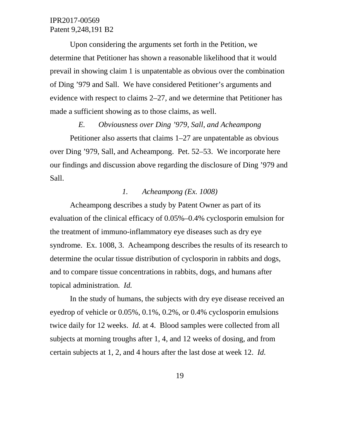Upon considering the arguments set forth in the Petition, we determine that Petitioner has shown a reasonable likelihood that it would prevail in showing claim 1 is unpatentable as obvious over the combination of Ding '979 and Sall. We have considered Petitioner's arguments and evidence with respect to claims 2–27, and we determine that Petitioner has made a sufficient showing as to those claims, as well.

#### *E. Obviousness over Ding '979, Sall, and Acheampong*

Petitioner also asserts that claims 1–27 are unpatentable as obvious over Ding '979, Sall, and Acheampong. Pet. 52–53. We incorporate here our findings and discussion above regarding the disclosure of Ding '979 and Sall.

### *1. Acheampong (Ex. 1008)*

Acheampong describes a study by Patent Owner as part of its evaluation of the clinical efficacy of 0.05%–0.4% cyclosporin emulsion for the treatment of immuno-inflammatory eye diseases such as dry eye syndrome. Ex. 1008, 3. Acheampong describes the results of its research to determine the ocular tissue distribution of cyclosporin in rabbits and dogs, and to compare tissue concentrations in rabbits, dogs, and humans after topical administration. *Id.*

In the study of humans, the subjects with dry eye disease received an eyedrop of vehicle or 0.05%, 0.1%, 0.2%, or 0.4% cyclosporin emulsions twice daily for 12 weeks. *Id.* at 4. Blood samples were collected from all subjects at morning troughs after 1, 4, and 12 weeks of dosing, and from certain subjects at 1, 2, and 4 hours after the last dose at week 12. *Id.*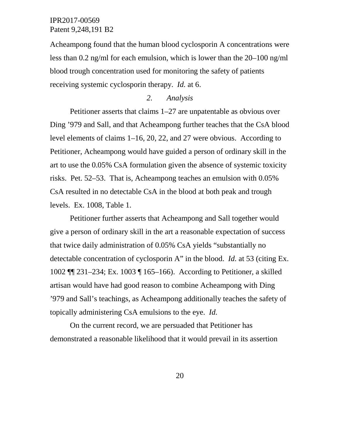Acheampong found that the human blood cyclosporin A concentrations were less than 0.2 ng/ml for each emulsion, which is lower than the 20–100 ng/ml blood trough concentration used for monitoring the safety of patients receiving systemic cyclosporin therapy. *Id.* at 6.

# *2. Analysis*

Petitioner asserts that claims 1–27 are unpatentable as obvious over Ding '979 and Sall, and that Acheampong further teaches that the CsA blood level elements of claims 1–16, 20, 22, and 27 were obvious. According to Petitioner, Acheampong would have guided a person of ordinary skill in the art to use the 0.05% CsA formulation given the absence of systemic toxicity risks. Pet. 52–53. That is, Acheampong teaches an emulsion with 0.05% CsA resulted in no detectable CsA in the blood at both peak and trough levels. Ex. 1008, Table 1.

Petitioner further asserts that Acheampong and Sall together would give a person of ordinary skill in the art a reasonable expectation of success that twice daily administration of 0.05% CsA yields "substantially no detectable concentration of cyclosporin A" in the blood. *Id.* at 53 (citing Ex. 1002 ¶¶ 231–234; Ex. 1003 ¶ 165–166). According to Petitioner, a skilled artisan would have had good reason to combine Acheampong with Ding '979 and Sall's teachings, as Acheampong additionally teaches the safety of topically administering CsA emulsions to the eye. *Id.*

On the current record, we are persuaded that Petitioner has demonstrated a reasonable likelihood that it would prevail in its assertion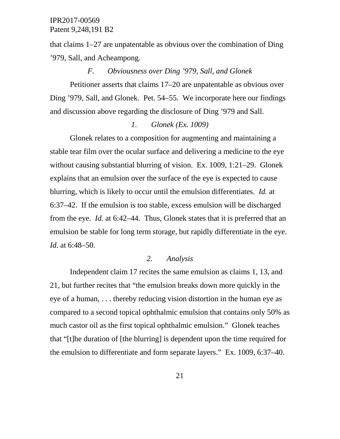that claims 1–27 are unpatentable as obvious over the combination of Ding '979, Sall, and Acheampong.

# *F. Obviousness over Ding '979, Sall, and Glonek*

Petitioner asserts that claims 17–20 are unpatentable as obvious over Ding '979, Sall, and Glonek. Pet. 54–55. We incorporate here our findings and discussion above regarding the disclosure of Ding '979 and Sall.

#### *1. Glonek (Ex. 1009)*

Glonek relates to a composition for augmenting and maintaining a stable tear film over the ocular surface and delivering a medicine to the eye without causing substantial blurring of vision. Ex. 1009, 1:21–29. Glonek explains that an emulsion over the surface of the eye is expected to cause blurring, which is likely to occur until the emulsion differentiates. *Id.* at 6:37–42. If the emulsion is too stable, excess emulsion will be discharged from the eye. *Id.* at 6:42–44. Thus, Glonek states that it is preferred that an emulsion be stable for long term storage, but rapidly differentiate in the eye. *Id.* at 6:48–50.

### *2. Analysis*

Independent claim 17 recites the same emulsion as claims 1, 13, and 21, but further recites that "the emulsion breaks down more quickly in the eye of a human, . . . thereby reducing vision distortion in the human eye as compared to a second topical ophthalmic emulsion that contains only 50% as much castor oil as the first topical ophthalmic emulsion." Glonek teaches that "[t]he duration of [the blurring] is dependent upon the time required for the emulsion to differentiate and form separate layers." Ex. 1009, 6:37–40.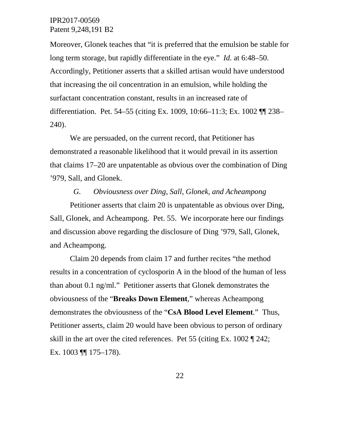Moreover, Glonek teaches that "it is preferred that the emulsion be stable for long term storage, but rapidly differentiate in the eye." *Id.* at 6:48–50. Accordingly, Petitioner asserts that a skilled artisan would have understood that increasing the oil concentration in an emulsion, while holding the surfactant concentration constant, results in an increased rate of differentiation. Pet. 54–55 (citing Ex. 1009, 10:66–11:3; Ex. 1002 ¶¶ 238– 240).

We are persuaded, on the current record, that Petitioner has demonstrated a reasonable likelihood that it would prevail in its assertion that claims 17–20 are unpatentable as obvious over the combination of Ding '979, Sall, and Glonek.

# *G. Obviousness over Ding, Sall, Glonek, and Acheampong*

Petitioner asserts that claim 20 is unpatentable as obvious over Ding, Sall, Glonek, and Acheampong. Pet. 55. We incorporate here our findings and discussion above regarding the disclosure of Ding '979, Sall, Glonek, and Acheampong.

Claim 20 depends from claim 17 and further recites "the method results in a concentration of cyclosporin A in the blood of the human of less than about 0.1 ng/ml." Petitioner asserts that Glonek demonstrates the obviousness of the "**Breaks Down Element**," whereas Acheampong demonstrates the obviousness of the "**CsA Blood Level Element**." Thus, Petitioner asserts, claim 20 would have been obvious to person of ordinary skill in the art over the cited references. Pet 55 (citing Ex. 1002 ¶ 242; Ex. 1003 ¶¶ 175–178).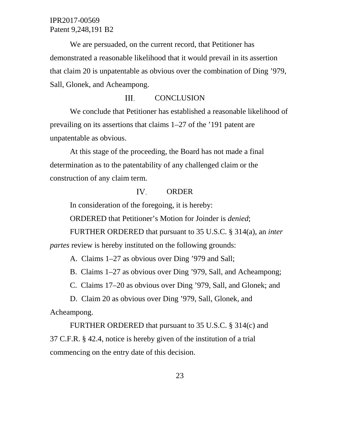We are persuaded, on the current record, that Petitioner has demonstrated a reasonable likelihood that it would prevail in its assertion that claim 20 is unpatentable as obvious over the combination of Ding '979, Sall, Glonek, and Acheampong.

#### III. **CONCLUSION**

We conclude that Petitioner has established a reasonable likelihood of prevailing on its assertions that claims 1–27 of the '191 patent are unpatentable as obvious.

At this stage of the proceeding, the Board has not made a final determination as to the patentability of any challenged claim or the construction of any claim term.

#### IV. ORDER

In consideration of the foregoing, it is hereby:

ORDERED that Petitioner's Motion for Joinder is *denied*;

FURTHER ORDERED that pursuant to 35 U.S.C. § 314(a), an *inter* 

*partes* review is hereby instituted on the following grounds:

A. Claims 1–27 as obvious over Ding '979 and Sall;

B. Claims 1–27 as obvious over Ding '979, Sall, and Acheampong;

C. Claims 17–20 as obvious over Ding '979, Sall, and Glonek; and

D. Claim 20 as obvious over Ding '979, Sall, Glonek, and

Acheampong.

FURTHER ORDERED that pursuant to 35 U.S.C. § 314(c) and 37 C.F.R. § 42.4, notice is hereby given of the institution of a trial commencing on the entry date of this decision.